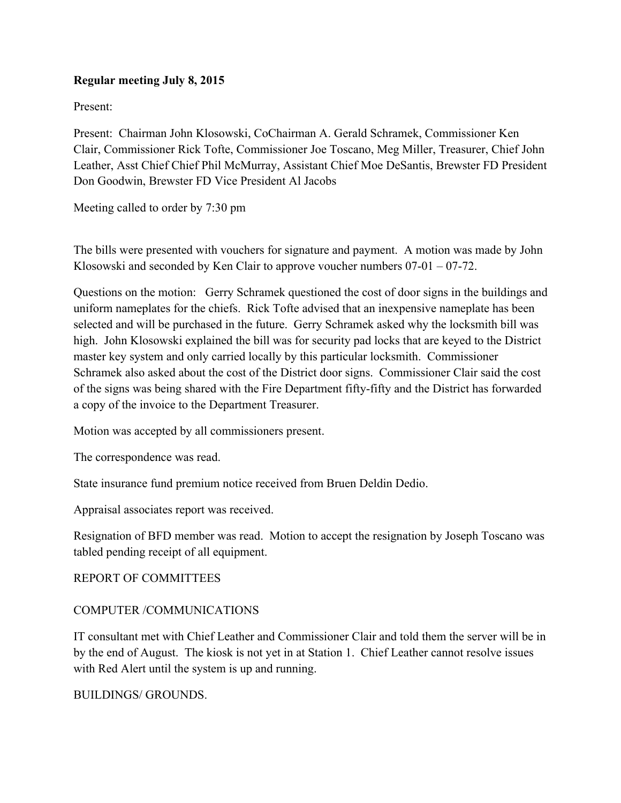## **Regular meeting July 8, 2015**

Present:

Present: Chairman John Klosowski, CoChairman A. Gerald Schramek, Commissioner Ken Clair, Commissioner Rick Tofte, Commissioner Joe Toscano, Meg Miller, Treasurer, Chief John Leather, Asst Chief Chief Phil McMurray, Assistant Chief Moe DeSantis, Brewster FD President Don Goodwin, Brewster FD Vice President Al Jacobs

Meeting called to order by 7:30 pm

The bills were presented with vouchers for signature and payment. A motion was made by John Klosowski and seconded by Ken Clair to approve voucher numbers 07-01 – 07-72.

Questions on the motion: Gerry Schramek questioned the cost of door signs in the buildings and uniform nameplates for the chiefs. Rick Tofte advised that an inexpensive nameplate has been selected and will be purchased in the future. Gerry Schramek asked why the locksmith bill was high. John Klosowski explained the bill was for security pad locks that are keyed to the District master key system and only carried locally by this particular locksmith. Commissioner Schramek also asked about the cost of the District door signs. Commissioner Clair said the cost of the signs was being shared with the Fire Department fifty-fifty and the District has forwarded a copy of the invoice to the Department Treasurer.

Motion was accepted by all commissioners present.

The correspondence was read.

State insurance fund premium notice received from Bruen Deldin Dedio.

Appraisal associates report was received.

Resignation of BFD member was read. Motion to accept the resignation by Joseph Toscano was tabled pending receipt of all equipment.

## REPORT OF COMMITTEES

## COMPUTER /COMMUNICATIONS

IT consultant met with Chief Leather and Commissioner Clair and told them the server will be in by the end of August. The kiosk is not yet in at Station 1. Chief Leather cannot resolve issues with Red Alert until the system is up and running.

BUILDINGS/ GROUNDS.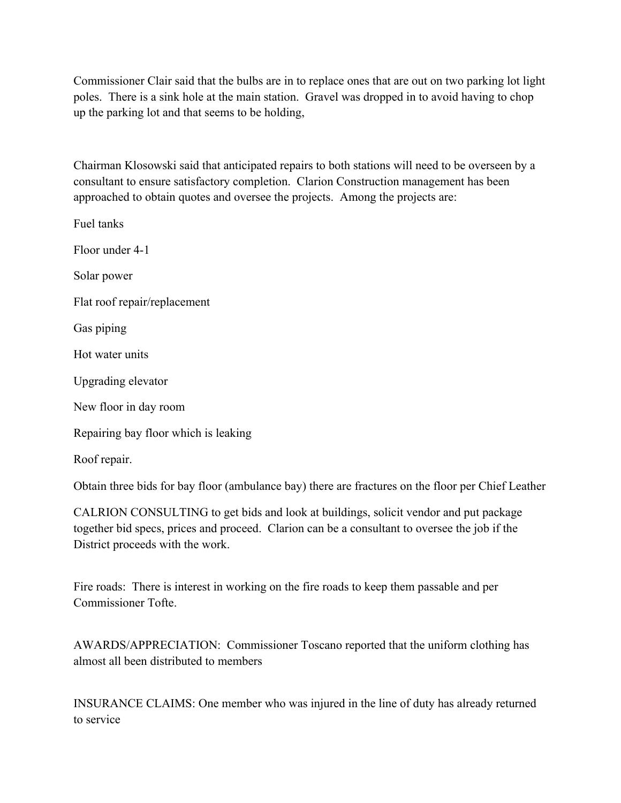Commissioner Clair said that the bulbs are in to replace ones that are out on two parking lot light poles. There is a sink hole at the main station. Gravel was dropped in to avoid having to chop up the parking lot and that seems to be holding,

Chairman Klosowski said that anticipated repairs to both stations will need to be overseen by a consultant to ensure satisfactory completion. Clarion Construction management has been approached to obtain quotes and oversee the projects. Among the projects are:

Fuel tanks Floor under 4-1 Solar power Flat roof repair/replacement Gas piping Hot water units Upgrading elevator New floor in day room Repairing bay floor which is leaking Roof repair.

Obtain three bids for bay floor (ambulance bay) there are fractures on the floor per Chief Leather

CALRION CONSULTING to get bids and look at buildings, solicit vendor and put package together bid specs, prices and proceed. Clarion can be a consultant to oversee the job if the District proceeds with the work.

Fire roads: There is interest in working on the fire roads to keep them passable and per Commissioner Tofte.

AWARDS/APPRECIATION: Commissioner Toscano reported that the uniform clothing has almost all been distributed to members

INSURANCE CLAIMS: One member who was injured in the line of duty has already returned to service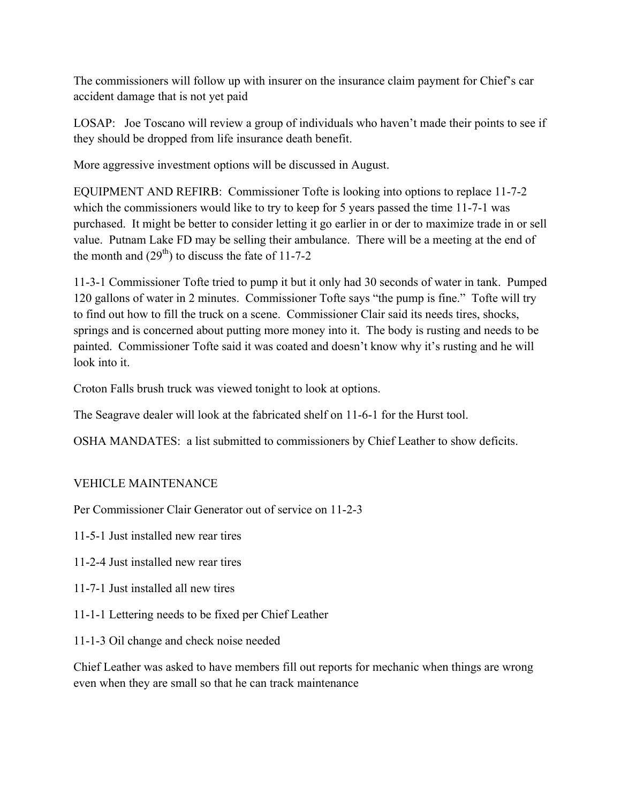The commissioners will follow up with insurer on the insurance claim payment for Chief's car accident damage that is not yet paid

LOSAP: Joe Toscano will review a group of individuals who haven't made their points to see if they should be dropped from life insurance death benefit.

More aggressive investment options will be discussed in August.

EQUIPMENT AND REFIRB: Commissioner Tofte is looking into options to replace 11-7-2 which the commissioners would like to try to keep for 5 years passed the time 11-7-1 was purchased. It might be better to consider letting it go earlier in or der to maximize trade in or sell value. Putnam Lake FD may be selling their ambulance. There will be a meeting at the end of the month and  $(29<sup>th</sup>)$  to discuss the fate of 11-7-2

11-3-1 Commissioner Tofte tried to pump it but it only had 30 seconds of water in tank. Pumped 120 gallons of water in 2 minutes. Commissioner Tofte says "the pump is fine." Tofte will try to find out how to fill the truck on a scene. Commissioner Clair said its needs tires, shocks, springs and is concerned about putting more money into it. The body is rusting and needs to be painted. Commissioner Tofte said it was coated and doesn't know why it's rusting and he will look into it.

Croton Falls brush truck was viewed tonight to look at options.

The Seagrave dealer will look at the fabricated shelf on 11-6-1 for the Hurst tool.

OSHA MANDATES: a list submitted to commissioners by Chief Leather to show deficits.

## VEHICLE MAINTENANCE

Per Commissioner Clair Generator out of service on 11-2-3

11-5-1 Just installed new rear tires

- 11-2-4 Just installed new rear tires
- 11-7-1 Just installed all new tires
- 11-1-1 Lettering needs to be fixed per Chief Leather
- 11-1-3 Oil change and check noise needed

Chief Leather was asked to have members fill out reports for mechanic when things are wrong even when they are small so that he can track maintenance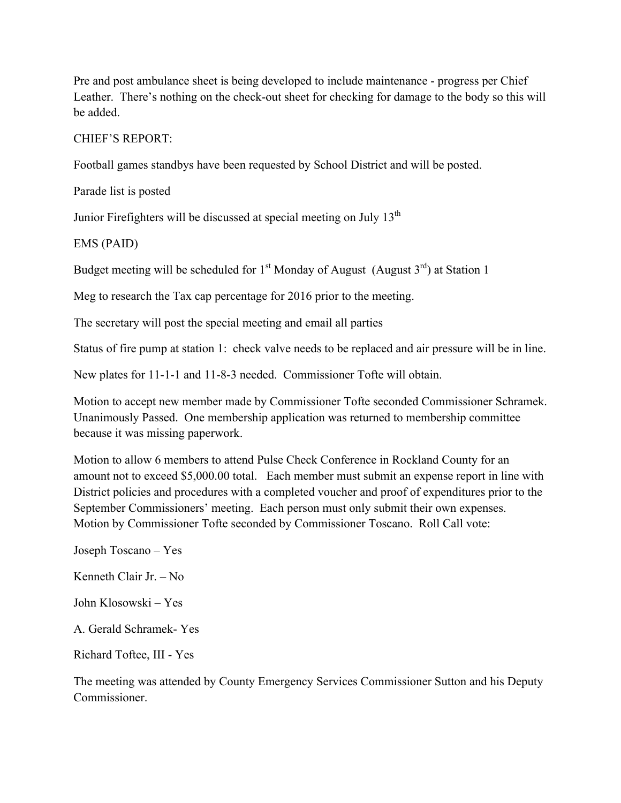Pre and post ambulance sheet is being developed to include maintenance - progress per Chief Leather. There's nothing on the check-out sheet for checking for damage to the body so this will be added.

CHIEF'S REPORT:

Football games standbys have been requested by School District and will be posted.

Parade list is posted

Junior Firefighters will be discussed at special meeting on July 13<sup>th</sup>

EMS (PAID)

Budget meeting will be scheduled for  $1<sup>st</sup>$  Monday of August (August  $3<sup>rd</sup>$ ) at Station 1

Meg to research the Tax cap percentage for 2016 prior to the meeting.

The secretary will post the special meeting and email all parties

Status of fire pump at station 1: check valve needs to be replaced and air pressure will be in line.

New plates for 11-1-1 and 11-8-3 needed. Commissioner Tofte will obtain.

Motion to accept new member made by Commissioner Tofte seconded Commissioner Schramek. Unanimously Passed. One membership application was returned to membership committee because it was missing paperwork.

Motion to allow 6 members to attend Pulse Check Conference in Rockland County for an amount not to exceed \$5,000.00 total. Each member must submit an expense report in line with District policies and procedures with a completed voucher and proof of expenditures prior to the September Commissioners' meeting. Each person must only submit their own expenses. Motion by Commissioner Tofte seconded by Commissioner Toscano. Roll Call vote:

Joseph Toscano – Yes

Kenneth Clair Jr. – No

John Klosowski – Yes

A. Gerald Schramek- Yes

Richard Toftee, III - Yes

The meeting was attended by County Emergency Services Commissioner Sutton and his Deputy Commissioner.